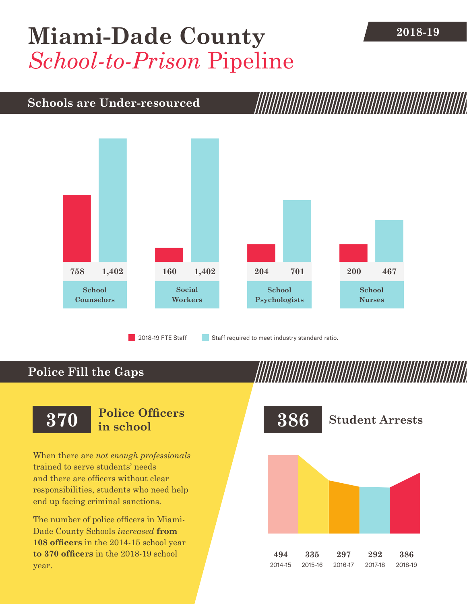## **[Miami-Dade County](DBF_County)** 2018-19 *School-to-Prison* Pipeline

#### **Schools are Under-resourced**



2018-19 FTE Staff **Staff required to meet industry standard ratio.** 

### **Police Fill the Gaps**

When there are *not enough professionals* trained to serve students' needs and there are officers without clear responsibilities, students who need help end up facing criminal sanctions.

The number of police officers in [Miami-](DBF_County)[Dade County](DBF_County) Schools *increased* **from [108](DBF_PO1415) officers** in the 2014-15 school year **to [370](DBF_PO) officers** in the 2018-19 school year.